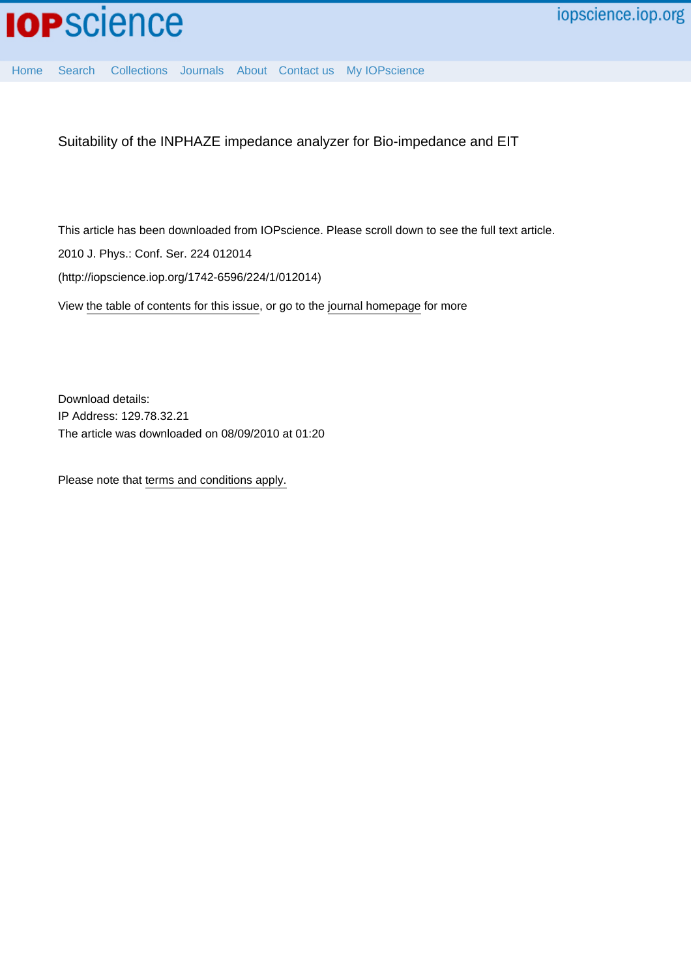

[Home](http://iopscience.iop.org/) [Search](http://iopscience.iop.org/search) [Collections](http://iopscience.iop.org/collections) [Journals](http://iopscience.iop.org/journals) [About](http://iopscience.iop.org/page/aboutioppublishing) [Contact us](http://iopscience.iop.org/contact) [My IOPscience](http://iopscience.iop.org/myiopscience)

Suitability of the INPHAZE impedance analyzer for Bio-impedance and EIT

This article has been downloaded from IOPscience. Please scroll down to see the full text article. 2010 J. Phys.: Conf. Ser. 224 012014

(http://iopscience.iop.org/1742-6596/224/1/012014)

View [the table of contents for this issue](http://iopscience.iop.org/1742-6596/224/1), or go to the [journal homepage](http://iopscience.iop.org/1742-6596) for more

Download details: IP Address: 129.78.32.21 The article was downloaded on 08/09/2010 at 01:20

Please note that [terms and conditions apply.](http://iopscience.iop.org/page/terms)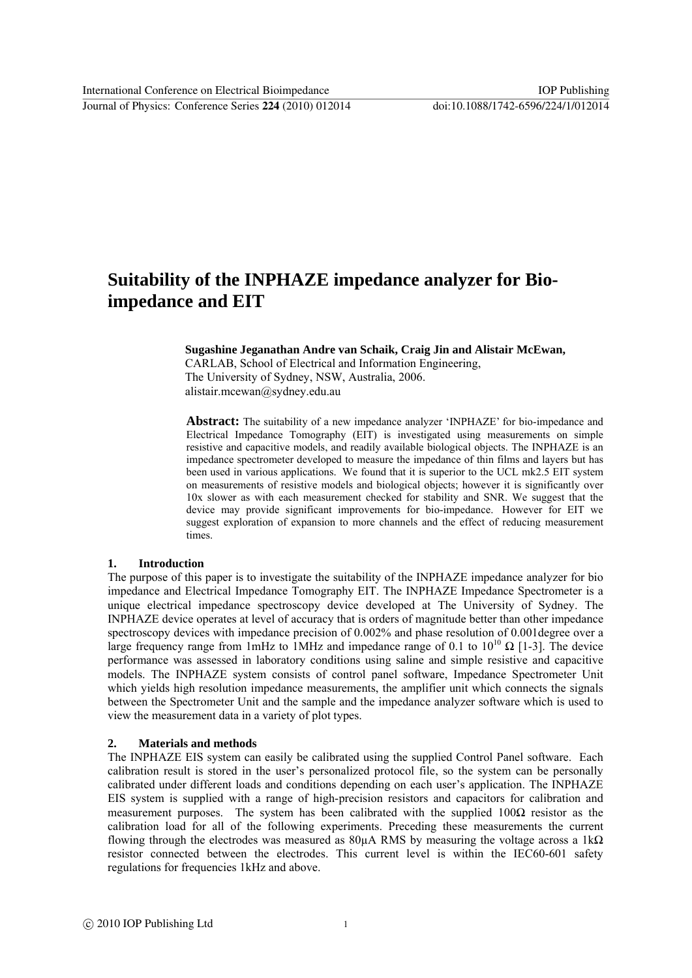# **Suitability of the INPHAZE impedance analyzer for Bioimpedance and EIT**

### **Sugashine Jeganathan Andre van Schaik, Craig Jin and Alistair McEwan,**

CARLAB, School of Electrical and Information Engineering, The University of Sydney, NSW, Australia, 2006. alistair.mcewan@sydney.edu.au

**Abstract:** The suitability of a new impedance analyzer 'INPHAZE' for bio-impedance and Electrical Impedance Tomography (EIT) is investigated using measurements on simple resistive and capacitive models, and readily available biological objects. The INPHAZE is an impedance spectrometer developed to measure the impedance of thin films and layers but has been used in various applications. We found that it is superior to the UCL mk2.5 EIT system on measurements of resistive models and biological objects; however it is significantly over 10x slower as with each measurement checked for stability and SNR. We suggest that the device may provide significant improvements for bio-impedance. However for EIT we suggest exploration of expansion to more channels and the effect of reducing measurement times.

### **1. Introduction**

The purpose of this paper is to investigate the suitability of the INPHAZE impedance analyzer for bio impedance and Electrical Impedance Tomography EIT. The INPHAZE Impedance Spectrometer is a unique electrical impedance spectroscopy device developed at The University of Sydney. The INPHAZE device operates at level of accuracy that is orders of magnitude better than other impedance spectroscopy devices with impedance precision of 0.002% and phase resolution of 0.001degree over a large frequency range from 1mHz to 1MHz and impedance range of 0.1 to  $10^{10} \Omega$  [1-3]. The device performance was assessed in laboratory conditions using saline and simple resistive and capacitive models. The INPHAZE system consists of control panel software, Impedance Spectrometer Unit which yields high resolution impedance measurements, the amplifier unit which connects the signals between the Spectrometer Unit and the sample and the impedance analyzer software which is used to view the measurement data in a variety of plot types.

# **2. Materials and methods**

The INPHAZE EIS system can easily be calibrated using the supplied Control Panel software. Each calibration result is stored in the user's personalized protocol file, so the system can be personally calibrated under different loads and conditions depending on each user's application. The INPHAZE EIS system is supplied with a range of high-precision resistors and capacitors for calibration and measurement purposes. The system has been calibrated with the supplied  $100\Omega$  resistor as the calibration load for all of the following experiments. Preceding these measurements the current flowing through the electrodes was measured as  $80\mu$ A RMS by measuring the voltage across a 1k $\Omega$ resistor connected between the electrodes. This current level is within the IEC60-601 safety regulations for frequencies 1kHz and above.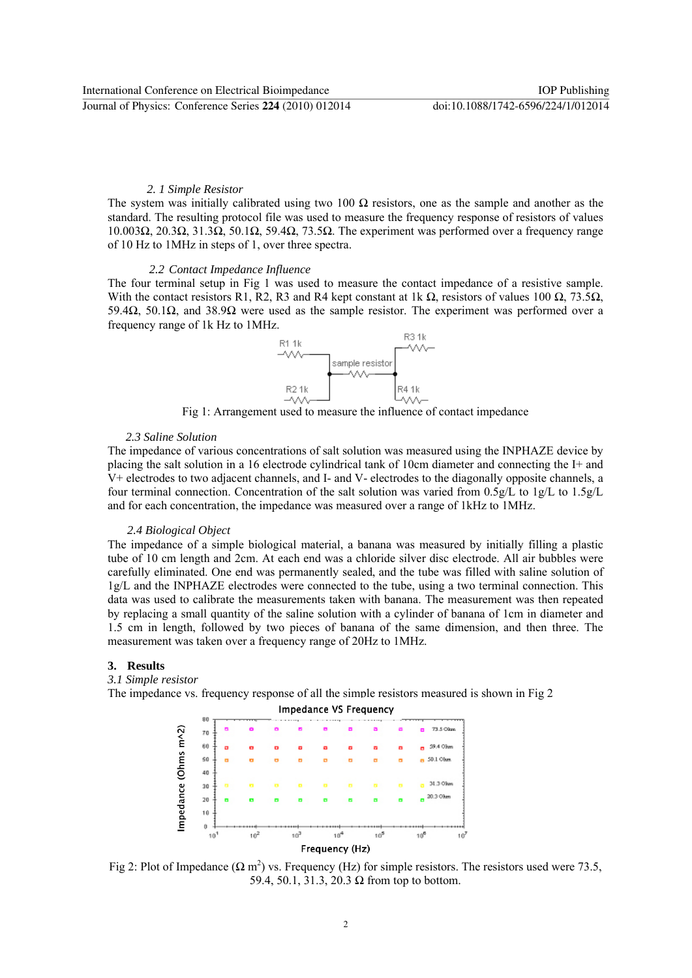# *2. 1 Simple Resistor*

The system was initially calibrated using two 100  $\Omega$  resistors, one as the sample and another as the standard. The resulting protocol file was used to measure the frequency response of resistors of values 10.003Ω, 20.3Ω, 31.3Ω, 50.1Ω, 59.4Ω, 73.5Ω. The experiment was performed over a frequency range of 10 Hz to 1MHz in steps of 1, over three spectra.

#### *2.2 Contact Impedance Influence*

The four terminal setup in Fig 1 was used to measure the contact impedance of a resistive sample. With the contact resistors R1, R2, R3 and R4 kept constant at 1k  $\Omega$ , resistors of values 100  $\Omega$ , 73.5 $\Omega$ , 59.4Ω, 50.1Ω, and 38.9Ω were used as the sample resistor. The experiment was performed over a frequency range of 1k Hz to 1MHz.



Fig 1: Arrangement used to measure the influence of contact impedance

# *2.3 Saline Solution*

The impedance of various concentrations of salt solution was measured using the INPHAZE device by placing the salt solution in a 16 electrode cylindrical tank of 10cm diameter and connecting the I+ and V+ electrodes to two adjacent channels, and I- and V- electrodes to the diagonally opposite channels, a four terminal connection. Concentration of the salt solution was varied from  $0.5g/L$  to  $1g/L$  to  $1.5g/L$ and for each concentration, the impedance was measured over a range of 1kHz to 1MHz.

#### *2.4 Biological Object*

The impedance of a simple biological material, a banana was measured by initially filling a plastic tube of 10 cm length and 2cm. At each end was a chloride silver disc electrode. All air bubbles were carefully eliminated. One end was permanently sealed, and the tube was filled with saline solution of 1g/L and the INPHAZE electrodes were connected to the tube, using a two terminal connection. This data was used to calibrate the measurements taken with banana. The measurement was then repeated by replacing a small quantity of the saline solution with a cylinder of banana of 1cm in diameter and 1.5 cm in length, followed by two pieces of banana of the same dimension, and then three. The measurement was taken over a frequency range of 20Hz to 1MHz.

## **3. Results**

*3.1 Simple resistor* 

The impedance vs. frequency response of all the simple resistors measured is shown in Fig 2



Fig 2: Plot of Impedance  $(\Omega \text{ m}^2)$  vs. Frequency (Hz) for simple resistors. The resistors used were 73.5, 59.4, 50.1, 31.3, 20.3 Ω from top to bottom.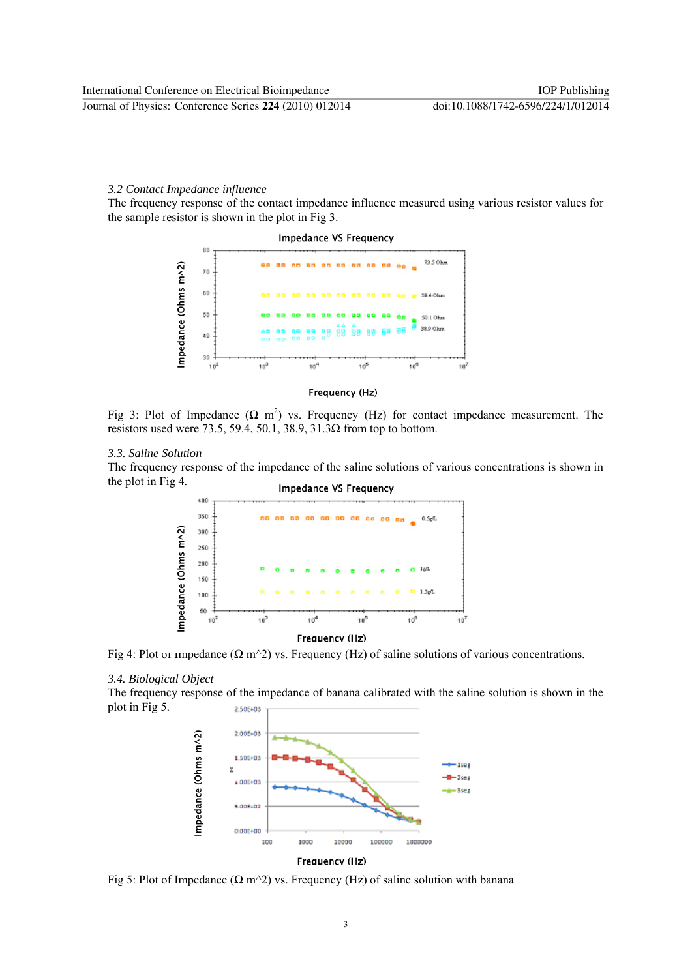#### *3.2 Contact Impedance influence*

The frequency response of the contact impedance influence measured using various resistor values for the sample resistor is shown in the plot in Fig 3.



#### Frequency (Hz)

Fig 3: Plot of Impedance  $(\Omega \text{ m}^2)$  vs. Frequency (Hz) for contact impedance measurement. The resistors used were 73.5, 59.4, 50.1, 38.9, 31.3 $\Omega$  from top to bottom.

### *3.3. Saline Solution*

The frequency response of the impedance of the saline solutions of various concentrations is shown in the plot in Fig 4. **Impedance VS Frequency** 



Frequency (Hz)

Fig 4: Plot or impedance  $(\Omega \text{ m}^2)$  vs. Frequency (Hz) of saline solutions of various concentrations.

## *3.4. Biological Object*

The frequency response of the impedance of banana calibrated with the saline solution is shown in the plot in Fig 5. 2.50E+03



Fig 5: Plot of Impedance ( $\Omega$  m<sup> $\sim$ </sup>2) vs. Frequency (Hz) of saline solution with banana